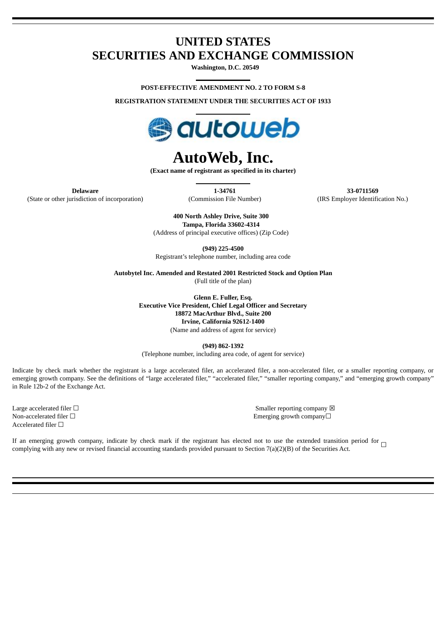## **UNITED STATES SECURITIES AND EXCHANGE COMMISSION**

**Washington, D.C. 20549**

**POST-EFFECTIVE AMENDMENT NO. 2 TO FORM S-8**

**REGISTRATION STATEMENT UNDER THE SECURITIES ACT OF 1933**



## **AutoWeb, Inc.**

**(Exact name of registrant as specified in its charter)**

(State or other jurisdiction of incorporation) (Commission File Number) (IRS Employer Identification No.)

**Delaware 1-34761 33-0711569**

**400 North Ashley Drive, Suite 300 Tampa, Florida 33602-4314** (Address of principal executive offices) (Zip Code)

**(949) 225-4500** Registrant's telephone number, including area code

**Autobytel Inc. Amended and Restated 2001 Restricted Stock and Option Plan** (Full title of the plan)

> **Glenn E. Fuller, Esq. Executive Vice President, Chief Legal Officer and Secretary 18872 MacArthur Blvd., Suite 200 Irvine, California 92612-1400** (Name and address of agent for service)

> > **(949) 862-1392**

(Telephone number, including area code, of agent for service)

Indicate by check mark whether the registrant is a large accelerated filer, an accelerated filer, a non-accelerated filer, or a smaller reporting company, or emerging growth company. See the definitions of "large accelerated filer," "accelerated filer," "smaller reporting company," and "emerging growth company" in Rule 12b-2 of the Exchange Act.

Accelerated filer  $□$ 

Large accelerated filer □ state of the state of the state of the state of the state of the state of the state of the state of the state of the state of the state of the state of the state of the state of the state of the Non-accelerated filer □ example of the state of the state of the state of the Emerging growth company□

If an emerging growth company, indicate by check mark if the registrant has elected not to use the extended transition period for  $\Box$ complying with any new or revised financial accounting standards provided pursuant to Section 7(a)(2)(B) of the Securities Act.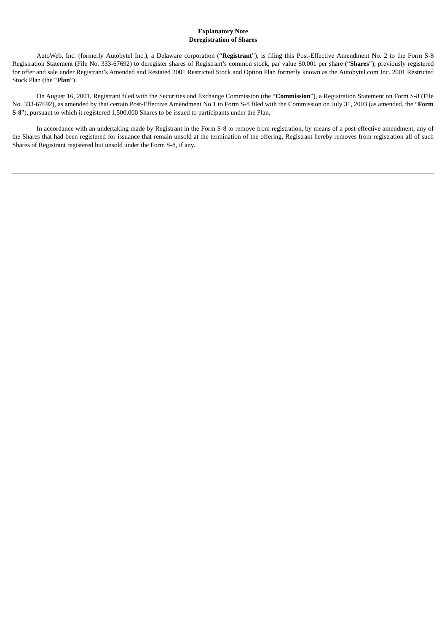## **Explanatory Note Deregistration of Shares**

AutoWeb, Inc. (formerly Autobytel Inc.), a Delaware corporation ("**Registrant**"), is filing this Post-Effective Amendment No. 2 to the Form S-8 Registration Statement (File No. 333-67692) to deregister shares of Registrant's common stock, par value \$0.001 per share ("**Shares**"), previously registered for offer and sale under Registrant's Amended and Restated 2001 Restricted Stock and Option Plan formerly known as the Autobytel.com Inc. 2001 Restricted Stock Plan (the "**Plan**").

On August 16, 2001, Registrant filed with the Securities and Exchange Commission (the "**Commission**"), a Registration Statement on Form S-8 (File No. 333-67692), as amended by that certain Post-Effective Amendment No.1 to Form S-8 filed with the Commission on July 31, 2003 (as amended, the "**Form S-8**"), pursuant to which it registered 1,500,000 Shares to be issued to participants under the Plan.

In accordance with an undertaking made by Registrant in the Form S-8 to remove from registration, by means of a post-effective amendment, any of the Shares that had been registered for issuance that remain unsold at the termination of the offering, Registrant hereby removes from registration all of such Shares of Registrant registered but unsold under the Form S-8, if any.